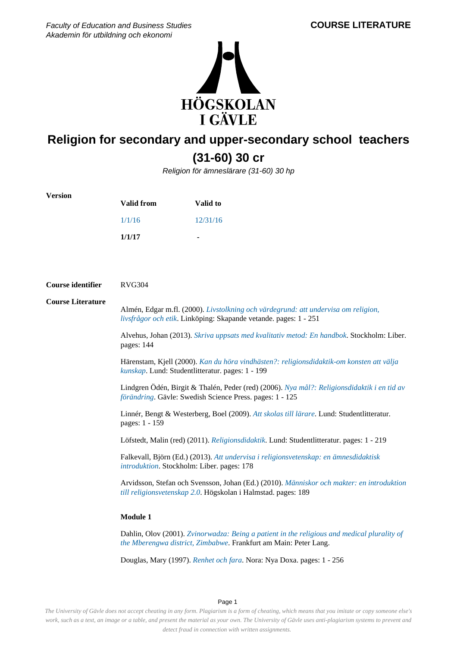Faculty of Education and Business Studies Akademin för utbildning och ekonomi



# **Religion for secondary and upper-secondary school teachers (31-60) 30 cr**

Religion för ämneslärare (31-60) 30 hp

| <b>Version</b>           |                                                                                                                                                                 |          |  |
|--------------------------|-----------------------------------------------------------------------------------------------------------------------------------------------------------------|----------|--|
|                          | <b>Valid from</b>                                                                                                                                               | Valid to |  |
|                          | 1/1/16                                                                                                                                                          | 12/31/16 |  |
|                          | 1/1/17                                                                                                                                                          |          |  |
|                          |                                                                                                                                                                 |          |  |
|                          |                                                                                                                                                                 |          |  |
| Course identifier        | <b>RVG304</b>                                                                                                                                                   |          |  |
| <b>Course Literature</b> | Almén, Edgar m.fl. (2000). Livstolkning och värdegrund: att undervisa om religion,<br>livsfrågor och etik. Linköping: Skapande vetande. pages: 1 - 251          |          |  |
|                          | Alvehus, Johan (2013). Skriva uppsats med kvalitativ metod: En handbok. Stockholm: Liber.<br>pages: 144                                                         |          |  |
|                          | Härenstam, Kjell (2000). Kan du höra vindhästen?: religionsdidaktik-om konsten att välja<br>kunskap. Lund: Studentlitteratur. pages: 1 - 199                    |          |  |
|                          | Lindgren Ödén, Birgit & Thalén, Peder (red) (2006). Nya mål?: Religionsdidaktik i en tid av<br>förändring. Gävle: Swedish Science Press. pages: 1 - 125         |          |  |
|                          | Linnér, Bengt & Westerberg, Boel (2009). Att skolas till lärare. Lund: Studentlitteratur.<br>pages: 1 - 159                                                     |          |  |
|                          | Löfstedt, Malin (red) (2011). Religionsdidaktik. Lund: Studentlitteratur. pages: 1 - 219                                                                        |          |  |
|                          | Falkevall, Björn (Ed.) (2013). Att undervisa i religionsvetenskap: en ämnesdidaktisk<br>introduktion. Stockholm: Liber. pages: 178                              |          |  |
|                          | Arvidsson, Stefan och Svensson, Johan (Ed.) (2010). Människor och makter: en introduktion<br>till religionsvetenskap 2.0. Högskolan i Halmstad. pages: 189      |          |  |
|                          | Module 1                                                                                                                                                        |          |  |
|                          | Dahlin, Olov (2001). Zvinorwadza: Being a patient in the religious and medical plurality of<br>the Mberengwa district, Zimbabwe. Frankfurt am Main: Peter Lang. |          |  |
|                          | Douglas, Mary (1997). Renhet och fara. Nora: Nya Doxa. pages: 1 - 256                                                                                           |          |  |

Page 1

*The University of Gävle does not accept cheating in any form. Plagiarism is a form of cheating, which means that you imitate or copy someone else's work, such as a text, an image or a table, and present the material as your own. The University of Gävle uses anti-plagiarism systems to prevent and detect fraud in connection with written assignments.*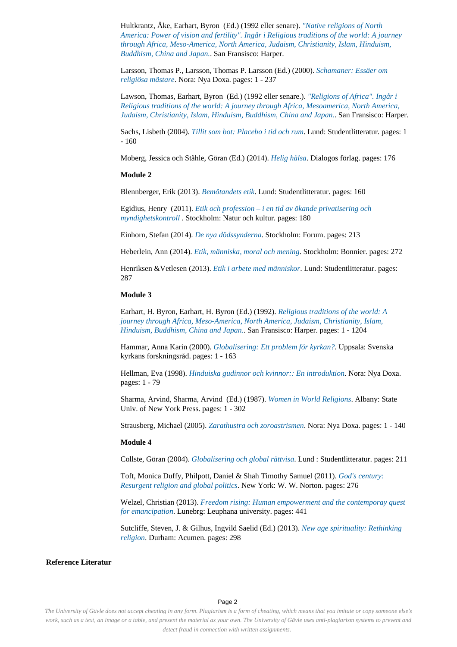Hultkrantz, Åke, Earhart, Byron (Ed.) (1992 eller senare). *["Native religions of North](https://hig.bibkat.se/cgi-bin/koha/opac-search.pl?q=%22Native+religions+of+North+America%3A+Power+of+vision+and+fertility%22.+Ing%C3%A5r+i+Religious+traditions+of+the+world%3A+A+journey+through+Africa%2C+Meso-America%2C+North+America%2C+Judaism%2C+Christianity%2C+Islam%2C+Hinduism%2C+Buddhism%2C+China+and+Japan.) [America: Power of vision and fertility". Ingår i Religious traditions of the world: A journey](https://hig.bibkat.se/cgi-bin/koha/opac-search.pl?q=%22Native+religions+of+North+America%3A+Power+of+vision+and+fertility%22.+Ing%C3%A5r+i+Religious+traditions+of+the+world%3A+A+journey+through+Africa%2C+Meso-America%2C+North+America%2C+Judaism%2C+Christianity%2C+Islam%2C+Hinduism%2C+Buddhism%2C+China+and+Japan.) [through Africa, Meso-America, North America, Judaism, Christianity, Islam, Hinduism,](https://hig.bibkat.se/cgi-bin/koha/opac-search.pl?q=%22Native+religions+of+North+America%3A+Power+of+vision+and+fertility%22.+Ing%C3%A5r+i+Religious+traditions+of+the+world%3A+A+journey+through+Africa%2C+Meso-America%2C+North+America%2C+Judaism%2C+Christianity%2C+Islam%2C+Hinduism%2C+Buddhism%2C+China+and+Japan.) [Buddhism, China and Japan.](https://hig.bibkat.se/cgi-bin/koha/opac-search.pl?q=%22Native+religions+of+North+America%3A+Power+of+vision+and+fertility%22.+Ing%C3%A5r+i+Religious+traditions+of+the+world%3A+A+journey+through+Africa%2C+Meso-America%2C+North+America%2C+Judaism%2C+Christianity%2C+Islam%2C+Hinduism%2C+Buddhism%2C+China+and+Japan.)*. San Fransisco: Harper.

Larsson, Thomas P., Larsson, Thomas P. Larsson (Ed.) (2000). *[Schamaner: Essäer om](https://hig.bibkat.se/cgi-bin/koha/opac-search.pl?q=Schamaner+Ess%C3%A4er+om+religi%C3%B6sa+m%C3%A4stare) [religiösa mästare](https://hig.bibkat.se/cgi-bin/koha/opac-search.pl?q=Schamaner+Ess%C3%A4er+om+religi%C3%B6sa+m%C3%A4stare)*. Nora: Nya Doxa. pages: 1 - 237

Lawson, Thomas, Earhart, Byron (Ed.) (1992 eller senare.). *["Religions of Africa". Ingår i](https://hig.bibkat.se/cgi-bin/koha/opac-search.pl?q=%22Religions+of+Africa%22.+Ing%C3%A5r+i+Religious+traditions+of+the+world%3A+A+journey+through+Africa%2C+Mesoamerica%2C+North+America%2C+Judaism%2C+Christianity%2C+Islam%2C+Hinduism%2C+Buddhism%2C+China+and+Japan.) [Religious traditions of the world: A journey through Africa, Mesoamerica, North America,](https://hig.bibkat.se/cgi-bin/koha/opac-search.pl?q=%22Religions+of+Africa%22.+Ing%C3%A5r+i+Religious+traditions+of+the+world%3A+A+journey+through+Africa%2C+Mesoamerica%2C+North+America%2C+Judaism%2C+Christianity%2C+Islam%2C+Hinduism%2C+Buddhism%2C+China+and+Japan.) [Judaism, Christianity, Islam, Hinduism, Buddhism, China and Japan.](https://hig.bibkat.se/cgi-bin/koha/opac-search.pl?q=%22Religions+of+Africa%22.+Ing%C3%A5r+i+Religious+traditions+of+the+world%3A+A+journey+through+Africa%2C+Mesoamerica%2C+North+America%2C+Judaism%2C+Christianity%2C+Islam%2C+Hinduism%2C+Buddhism%2C+China+and+Japan.)*. San Fransisco: Harper.

Sachs, Lisbeth (2004). *[Tillit som bot: Placebo i tid och rum](https://hig.bibkat.se/cgi-bin/koha/opac-search.pl?q=Tillit+som+bot+Placebo+i+tid+och+rum)*. Lund: Studentlitteratur. pages: 1 - 160

Moberg, Jessica och Ståhle, Göran (Ed.) (2014). *[Helig hälsa](https://hig.bibkat.se/cgi-bin/koha/opac-search.pl?q=Helig+h%C3%A4lsa)*. Dialogos förlag. pages: 176

### **Module 2**

Blennberger, Erik (2013). *[Bemötandets etik](https://hig.bibkat.se/cgi-bin/koha/opac-search.pl?q=Bem%C3%B6tandets+etik)*. Lund: Studentlitteratur. pages: 160

Egidius, Henry (2011). *[Etik och profession – i en tid av ökande privatisering och](https://hig.bibkat.se/cgi-bin/koha/opac-search.pl?q=Etik+och+profession+%E2%80%93+i+en+tid+av+%C3%B6kande+privatisering+och+myndighetskontroll+) [myndighetskontroll](https://hig.bibkat.se/cgi-bin/koha/opac-search.pl?q=Etik+och+profession+%E2%80%93+i+en+tid+av+%C3%B6kande+privatisering+och+myndighetskontroll+)* . Stockholm: Natur och kultur. pages: 180

Einhorn, Stefan (2014). *[De nya dödssynderna](https://hig.bibkat.se/cgi-bin/koha/opac-search.pl?q=De+nya+d%C3%B6dssynderna)*. Stockholm: Forum. pages: 213

Heberlein, Ann (2014). *[Etik, människa, moral och mening](https://hig.bibkat.se/cgi-bin/koha/opac-search.pl?q=Etik%2C+m%C3%A4nniska%2C+moral+och+mening)*. Stockholm: Bonnier. pages: 272

Henriksen &Vetlesen (2013). *[Etik i arbete med människor](https://hig.bibkat.se/cgi-bin/koha/opac-search.pl?q=Etik+i+arbete+med+m%C3%A4nniskor)*. Lund: Studentlitteratur. pages: 287

### **Module 3**

Earhart, H. Byron, Earhart, H. Byron (Ed.) (1992). *[Religious traditions of the world: A](https://hig.bibkat.se/cgi-bin/koha/opac-search.pl?q=Religious+traditions+of+the+world+A+journey+through+Africa%2C+Meso-America%2C+North+America%2C+Judaism%2C+Christianity%2C+Islam%2C+Hinduism%2C+Buddhism%2C+China+and+Japan.) [journey through Africa, Meso-America, North America, Judaism, Christianity, Islam,](https://hig.bibkat.se/cgi-bin/koha/opac-search.pl?q=Religious+traditions+of+the+world+A+journey+through+Africa%2C+Meso-America%2C+North+America%2C+Judaism%2C+Christianity%2C+Islam%2C+Hinduism%2C+Buddhism%2C+China+and+Japan.) [Hinduism, Buddhism, China and Japan.](https://hig.bibkat.se/cgi-bin/koha/opac-search.pl?q=Religious+traditions+of+the+world+A+journey+through+Africa%2C+Meso-America%2C+North+America%2C+Judaism%2C+Christianity%2C+Islam%2C+Hinduism%2C+Buddhism%2C+China+and+Japan.)*. San Fransisco: Harper. pages: 1 - 1204

Hammar, Anna Karin (2000). *[Globalisering: Ett problem för kyrkan?](https://hig.bibkat.se/cgi-bin/koha/opac-search.pl?q=Globalisering+Ett+problem+f%C3%B6r+kyrkan%3F)*. Uppsala: Svenska kyrkans forskningsråd. pages: 1 - 163

Hellman, Eva (1998). *[Hinduiska gudinnor och kvinnor:: En introduktion](https://hig.bibkat.se/cgi-bin/koha/opac-search.pl?q=Hinduiska+gudinnor+och+kvinnor%3A+En+introduktion)*. Nora: Nya Doxa. pages: 1 - 79

Sharma, Arvind, Sharma, Arvind (Ed.) (1987). *[Women in World Religions](https://hig.bibkat.se/cgi-bin/koha/opac-search.pl?q=Women+in+World+Religions)*. Albany: State Univ. of New York Press. pages: 1 - 302

Strausberg, Michael (2005). *[Zarathustra och zoroastrismen](https://hig.bibkat.se/cgi-bin/koha/opac-search.pl?q=Zarathustra+och+zoroastrismen)*. Nora: Nya Doxa. pages: 1 - 140

## **Module 4**

Collste, Göran (2004). *[Globalisering och global rättvisa](https://hig.bibkat.se/cgi-bin/koha/opac-search.pl?q=Globalisering+och+global+r%C3%A4ttvisa)*. Lund : Studentlitteratur. pages: 211

Toft, Monica Duffy, Philpott, Daniel & Shah Timothy Samuel (2011). *[God's century:](https://hig.bibkat.se/cgi-bin/koha/opac-search.pl?q=God%27s+century+Resurgent+religion+and+global+politics) [Resurgent religion and global politics](https://hig.bibkat.se/cgi-bin/koha/opac-search.pl?q=God%27s+century+Resurgent+religion+and+global+politics)*. New York: W. W. Norton. pages: 276

Welzel, Christian (2013). *[Freedom rising: Human empowerment and the contemporay quest](https://hig.bibkat.se/cgi-bin/koha/opac-search.pl?q=Freedom+rising+Human+empowerment+and+the+contemporay+quest+for+emancipation) [for emancipation](https://hig.bibkat.se/cgi-bin/koha/opac-search.pl?q=Freedom+rising+Human+empowerment+and+the+contemporay+quest+for+emancipation)*. Lunebrg: Leuphana university. pages: 441

Sutcliffe, Steven, J. & Gilhus, Ingvild Saelid (Ed.) (2013). *[New age spirituality: Rethinking](https://hig.bibkat.se/cgi-bin/koha/opac-search.pl?q=New+age+spirituality+Rethinking+religion) [religion](https://hig.bibkat.se/cgi-bin/koha/opac-search.pl?q=New+age+spirituality+Rethinking+religion)*. Durham: Acumen. pages: 298

#### **Reference Literatur**

## Page 2

*The University of Gävle does not accept cheating in any form. Plagiarism is a form of cheating, which means that you imitate or copy someone else's work, such as a text, an image or a table, and present the material as your own. The University of Gävle uses anti-plagiarism systems to prevent and detect fraud in connection with written assignments.*